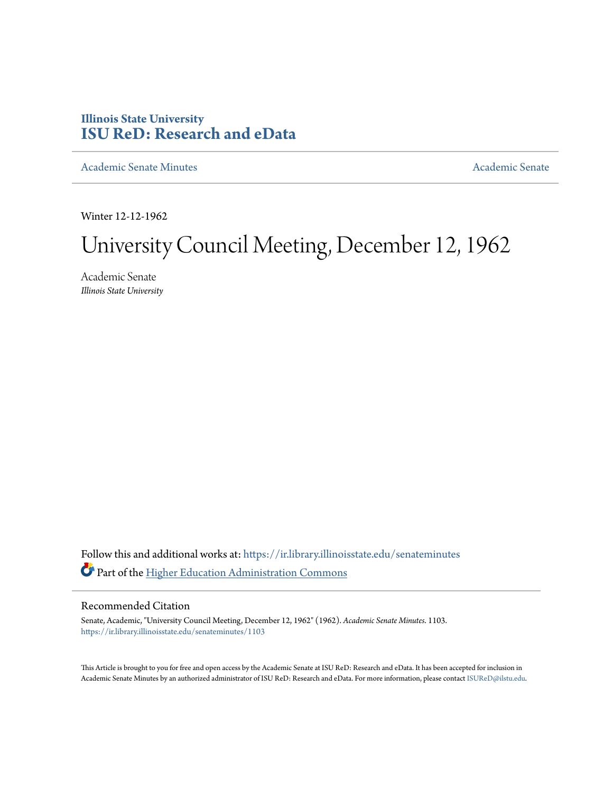# **Illinois State University [ISU ReD: Research and eData](https://ir.library.illinoisstate.edu?utm_source=ir.library.illinoisstate.edu%2Fsenateminutes%2F1103&utm_medium=PDF&utm_campaign=PDFCoverPages)**

[Academic Senate Minutes](https://ir.library.illinoisstate.edu/senateminutes?utm_source=ir.library.illinoisstate.edu%2Fsenateminutes%2F1103&utm_medium=PDF&utm_campaign=PDFCoverPages) [Academic Senate](https://ir.library.illinoisstate.edu/senate?utm_source=ir.library.illinoisstate.edu%2Fsenateminutes%2F1103&utm_medium=PDF&utm_campaign=PDFCoverPages) Academic Senate

Winter 12-12-1962

# University Council Meeting, December 12, 1962

Academic Senate *Illinois State University*

Follow this and additional works at: [https://ir.library.illinoisstate.edu/senateminutes](https://ir.library.illinoisstate.edu/senateminutes?utm_source=ir.library.illinoisstate.edu%2Fsenateminutes%2F1103&utm_medium=PDF&utm_campaign=PDFCoverPages) Part of the [Higher Education Administration Commons](http://network.bepress.com/hgg/discipline/791?utm_source=ir.library.illinoisstate.edu%2Fsenateminutes%2F1103&utm_medium=PDF&utm_campaign=PDFCoverPages)

#### Recommended Citation

Senate, Academic, "University Council Meeting, December 12, 1962" (1962). *Academic Senate Minutes*. 1103. [https://ir.library.illinoisstate.edu/senateminutes/1103](https://ir.library.illinoisstate.edu/senateminutes/1103?utm_source=ir.library.illinoisstate.edu%2Fsenateminutes%2F1103&utm_medium=PDF&utm_campaign=PDFCoverPages)

This Article is brought to you for free and open access by the Academic Senate at ISU ReD: Research and eData. It has been accepted for inclusion in Academic Senate Minutes by an authorized administrator of ISU ReD: Research and eData. For more information, please contact [ISUReD@ilstu.edu.](mailto:ISUReD@ilstu.edu)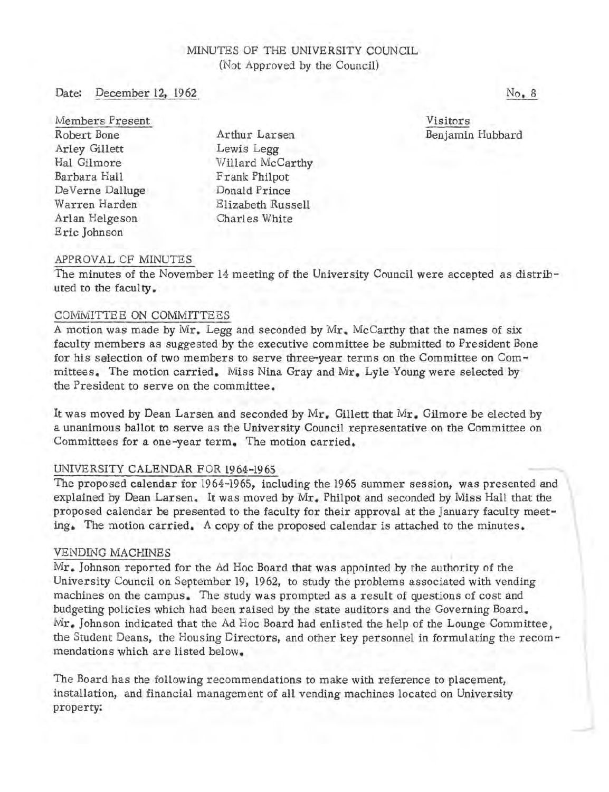# MINUTES OF THE UNIVERSITY COUNCIL (Not Approved by the Council)

#### Date: December 12, 1962

Members Present Robert Bone Arley Gillett Hal Gilmore Barbara Hall De Verne Dalluge Warren Harden Arlan Helgeson Eric Johnson

Arthur Larsen Lewis Legg Willard McCarthy Frank Philpot Donald Prince Elizabeth Russell Charles White

Visitors Benjamin Hubbard

## APPROVAL CF MINUTES

The minutes of the November 14 meeting of the University Council were accepted as distributed to the faculty.

#### COMMITTEE ON COMMITTEES

A motion was made by  $Mr_{\star}$  Legg and seconded by  $Mr_{\star}$  McCarthy that the names of six faculty members as suggested by the executive committee be submitted to President Bone for his selection of two members to serve three-year terms on the Committee on Committees. The motion carried. Miss Nina Gray and Mr. Lyle Young were selected by the President to serve on the committee.

It was moved by Dean Larsen and seconded by  $Mr_{\epsilon}$  Gillett that  $Mr_{\epsilon}$  Gilmore be elected by a unanimous ballot to serve as the University Council representative on the Committee on Committees for a one-year term. The motion carried.

## UNIVERSITY CALENDAR FOR 1964-1965

The proposed calendar for 1964-1965, including the 1965 summer session, was presented and explained by Dean Larsen. It was moved by Mr. Philpot and seconded by Miss Hall that the proposed calendar be presented to the faculty for their approval at the January faculty meeting. The motion carried. A copy of the proposed calendar is attached to the minutes.

#### VENDING MACHINES

 $Mr_{\bullet}$ , Johnson reported for the Ad Hoc Board that was appointed by the authority of the University Council on September 19, 1962, to study the problems associated with vending machines on the campus. The study was prompted as a result of questions of cost and budgeting policies which had been raised by the state auditors and the Governing Board .. Mr. Johnson indicated that the Ad Hoc Board had enlisted the help of the Lounge Committee, the Student Deans, the Housing Directors, and other key personnel in formulating the recommendations which are listed below.

The Board has the following recommendations to make with reference to placement, installation, and financial management of all vending machines located on University property:

No. 8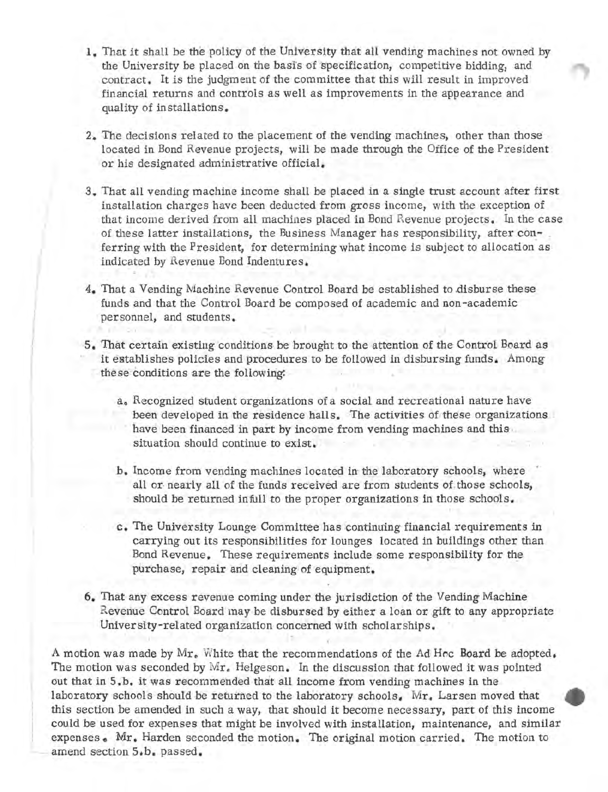- 1. That it shall be the policy of the University that all vending machines not owned by the University be placed on the basi's of specification, competitive bidding, and contract. It is the judgment of the committee that this will result in improved financial returns and controls as well as improvements in the appearance and quality of installations.
- 2. The decisions related to the placement of the vending machines, other than those . located in Bond Revenue projects, will be made through the Office of the President or his designated administrative official.
- 3. That all vending machine income shall be placed in a single trust account after first installation charges have been deducted from gross income, with the exception of that income derived from all machines placed in Bond Revenue projects. In the case of these latter installations, the Business Manager has responsibility, after conferring with the President, for determining what income is subject to allocation as indicated by Revenue Bond Indentures.
- 4. That a Vending Machine Revenue Control Board be established to disburse these funds and that the Control Board be composed of academic and non -academic personnel, and students.

i

- 5. That certain existing conditions be brought to the attention of the Control Board as it establishes policies and procedures to be followed in disbursing funds. Among these conditions are the following:
	- a, Recognized student organizations of a social and recreational nature have been developed in the residence halls. The activities of these organizations . have been financed in part by income from vending machines and this situation should continue to exist.
	- b. Income from vending machines located in the laboratory schools, where all or-nearly all of the funds received are from students of those schools, should be returned infull to the proper organizations in those schodls.
	- c. The University Lounge Committee has continuing financial requirements in carrying out its responsibilities for lounges located in buildings other than Bond Revenue. These requirements include some responsibility for the purchase, repair and cleaning of equipment.
- 6. That any excess revenue coming under the jurisdiction of the Vending Machine Revenue Control Board may be disbursed by either a loan or gift to any appropriate University-related organization concerned with scholarships,

A motion was made by Mr. White that the recommendations of the Ad Hoc Board be adopted. The motion was seconded by  $Mr_{\epsilon}$  Helgeson. In the discussion that followed it was pointed out that in 5.b. it was recommended that all income from vending machines in the laboratory schools should be returned to the laboratory schools. Mr. Larsen moved that this section be amended in such a way, that should it become necessary, part of this income could be used for expenses that might be involved with installation, maintenance, and similar expenses. Mr. Harden seconded the motion. The original motion carried. The motion to amend section 5.b. passed.